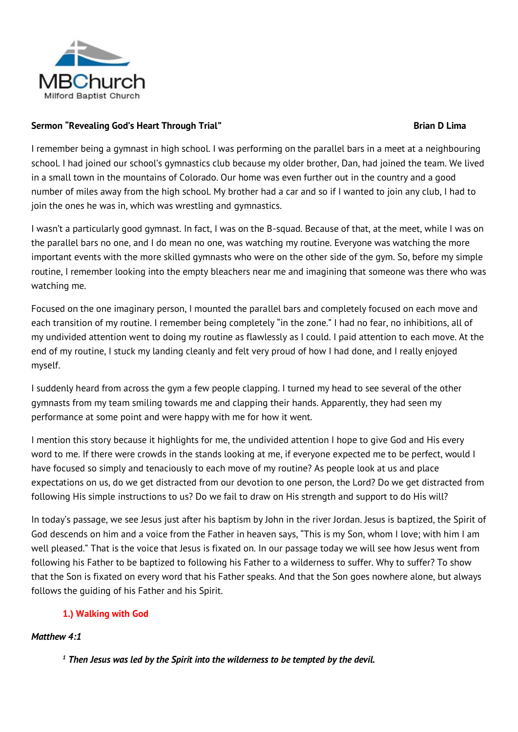

## **Sermon "Revealing God's Heart Through Trial" Brian D Lima**

I remember being a gymnast in high school. I was performing on the parallel bars in a meet at a neighbouring school. I had joined our school's gymnastics club because my older brother, Dan, had joined the team. We lived in a small town in the mountains of Colorado. Our home was even further out in the country and a good number of miles away from the high school. My brother had a car and so if I wanted to join any club, I had to join the ones he was in, which was wrestling and gymnastics.

I wasn't a particularly good gymnast. In fact, I was on the B-squad. Because of that, at the meet, while I was on the parallel bars no one, and I do mean no one, was watching my routine. Everyone was watching the more important events with the more skilled gymnasts who were on the other side of the gym. So, before my simple routine, I remember looking into the empty bleachers near me and imagining that someone was there who was watching me.

Focused on the one imaginary person, I mounted the parallel bars and completely focused on each move and each transition of my routine. I remember being completely "in the zone." I had no fear, no inhibitions, all of my undivided attention went to doing my routine as flawlessly as I could. I paid attention to each move. At the end of my routine, I stuck my landing cleanly and felt very proud of how I had done, and I really enjoyed myself.

I suddenly heard from across the gym a few people clapping. I turned my head to see several of the other gymnasts from my team smiling towards me and clapping their hands. Apparently, they had seen my performance at some point and were happy with me for how it went.

I mention this story because it highlights for me, the undivided attention I hope to give God and His every word to me. If there were crowds in the stands looking at me, if everyone expected me to be perfect, would I have focused so simply and tenaciously to each move of my routine? As people look at us and place expectations on us, do we get distracted from our devotion to one person, the Lord? Do we get distracted from following His simple instructions to us? Do we fail to draw on His strength and support to do His will?

In today's passage, we see Jesus just after his baptism by John in the river Jordan. Jesus is baptized, the Spirit of God descends on him and a voice from the Father in heaven says, "This is my Son, whom I love; with him I am well pleased." That is the voice that Jesus is fixated on. In our passage today we will see how Jesus went from following his Father to be baptized to following his Father to a wilderness to suffer. Why to suffer? To show that the Son is fixated on every word that his Father speaks. And that the Son goes nowhere alone, but always follows the guiding of his Father and his Spirit.

# **1.) Walking with God**

# *Matthew 4:1*

*<sup>1</sup> Then Jesus was led by the Spirit into the wilderness to be tempted by the devil.*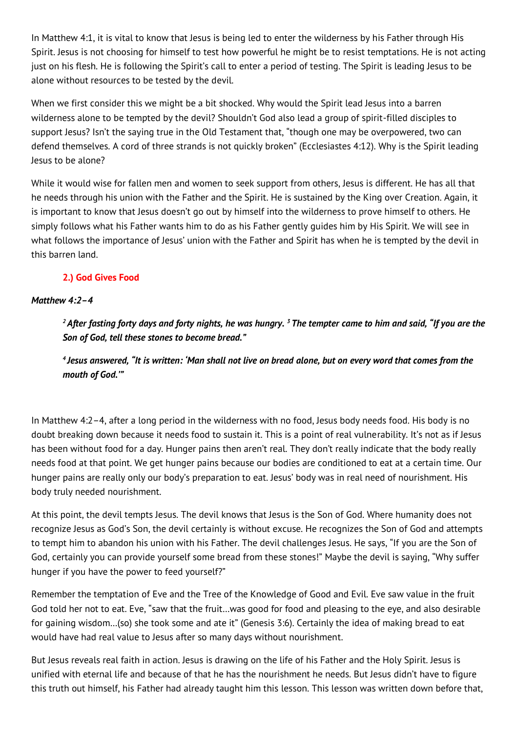In Matthew 4:1, it is vital to know that Jesus is being led to enter the wilderness by his Father through His Spirit. Jesus is not choosing for himself to test how powerful he might be to resist temptations. He is not acting just on his flesh. He is following the Spirit's call to enter a period of testing. The Spirit is leading Jesus to be alone without resources to be tested by the devil.

When we first consider this we might be a bit shocked. Why would the Spirit lead Jesus into a barren wilderness alone to be tempted by the devil? Shouldn't God also lead a group of spirit-filled disciples to support Jesus? Isn't the saying true in the Old Testament that, "though one may be overpowered, two can defend themselves. A cord of three strands is not quickly broken" (Ecclesiastes 4:12). Why is the Spirit leading Jesus to be alone?

While it would wise for fallen men and women to seek support from others, Jesus is different. He has all that he needs through his union with the Father and the Spirit. He is sustained by the King over Creation. Again, it is important to know that Jesus doesn't go out by himself into the wilderness to prove himself to others. He simply follows what his Father wants him to do as his Father gently guides him by His Spirit. We will see in what follows the importance of Jesus' union with the Father and Spirit has when he is tempted by the devil in this barren land.

# **2.) God Gives Food**

## *Matthew 4:2–4*

*<sup>2</sup> After fasting forty days and forty nights, he was hungry. <sup>3</sup> The tempter came to him and said, "If you are the Son of God, tell these stones to become bread."*

*4 Jesus answered, "It is written: 'Man shall not live on bread alone, but on every word that comes from the mouth of God.'"*

In Matthew 4:2–4, after a long period in the wilderness with no food, Jesus body needs food. His body is no doubt breaking down because it needs food to sustain it. This is a point of real vulnerability. It's not as if Jesus has been without food for a day. Hunger pains then aren't real. They don't really indicate that the body really needs food at that point. We get hunger pains because our bodies are conditioned to eat at a certain time. Our hunger pains are really only our body's preparation to eat. Jesus' body was in real need of nourishment. His body truly needed nourishment.

At this point, the devil tempts Jesus. The devil knows that Jesus is the Son of God. Where humanity does not recognize Jesus as God's Son, the devil certainly is without excuse. He recognizes the Son of God and attempts to tempt him to abandon his union with his Father. The devil challenges Jesus. He says, "If you are the Son of God, certainly you can provide yourself some bread from these stones!" Maybe the devil is saying, "Why suffer hunger if you have the power to feed yourself?"

Remember the temptation of Eve and the Tree of the Knowledge of Good and Evil. Eve saw value in the fruit God told her not to eat. Eve, "saw that the fruit…was good for food and pleasing to the eye, and also desirable for gaining wisdom…(so) she took some and ate it" (Genesis 3:6). Certainly the idea of making bread to eat would have had real value to Jesus after so many days without nourishment.

But Jesus reveals real faith in action. Jesus is drawing on the life of his Father and the Holy Spirit. Jesus is unified with eternal life and because of that he has the nourishment he needs. But Jesus didn't have to figure this truth out himself, his Father had already taught him this lesson. This lesson was written down before that,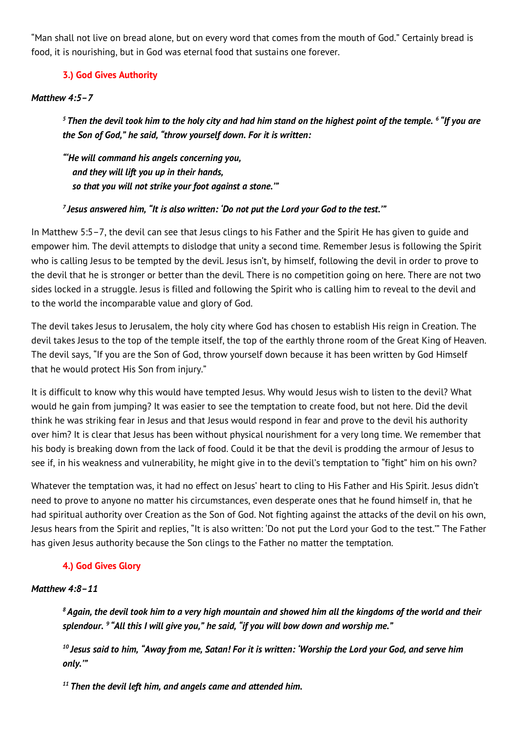"Man shall not live on bread alone, but on every word that comes from the mouth of God." Certainly bread is food, it is nourishing, but in God was eternal food that sustains one forever.

## **3.) God Gives Authority**

### *Matthew 4:5–7*

*<sup>5</sup> Then the devil took him to the holy city and had him stand on the highest point of the temple. <sup>6</sup> "If you are the Son of God," he said, "throw yourself down. For it is written:*

*"'He will command his angels concerning you, and they will lift you up in their hands, so that you will not strike your foot against a stone.'"*

#### *7 Jesus answered him, "It is also written: 'Do not put the Lord your God to the test.'"*

In Matthew 5:5–7, the devil can see that Jesus clings to his Father and the Spirit He has given to guide and empower him. The devil attempts to dislodge that unity a second time. Remember Jesus is following the Spirit who is calling Jesus to be tempted by the devil. Jesus isn't, by himself, following the devil in order to prove to the devil that he is stronger or better than the devil. There is no competition going on here. There are not two sides locked in a struggle. Jesus is filled and following the Spirit who is calling him to reveal to the devil and to the world the incomparable value and glory of God.

The devil takes Jesus to Jerusalem, the holy city where God has chosen to establish His reign in Creation. The devil takes Jesus to the top of the temple itself, the top of the earthly throne room of the Great King of Heaven. The devil says, "If you are the Son of God, throw yourself down because it has been written by God Himself that he would protect His Son from injury."

It is difficult to know why this would have tempted Jesus. Why would Jesus wish to listen to the devil? What would he gain from jumping? It was easier to see the temptation to create food, but not here. Did the devil think he was striking fear in Jesus and that Jesus would respond in fear and prove to the devil his authority over him? It is clear that Jesus has been without physical nourishment for a very long time. We remember that his body is breaking down from the lack of food. Could it be that the devil is prodding the armour of Jesus to see if, in his weakness and vulnerability, he might give in to the devil's temptation to "fight" him on his own?

Whatever the temptation was, it had no effect on Jesus' heart to cling to His Father and His Spirit. Jesus didn't need to prove to anyone no matter his circumstances, even desperate ones that he found himself in, that he had spiritual authority over Creation as the Son of God. Not fighting against the attacks of the devil on his own, Jesus hears from the Spirit and replies, "It is also written: 'Do not put the Lord your God to the test.'" The Father has given Jesus authority because the Son clings to the Father no matter the temptation.

## **4.) God Gives Glory**

#### *Matthew 4:8–11*

*<sup>8</sup> Again, the devil took him to a very high mountain and showed him all the kingdoms of the world and their splendour. <sup>9</sup> "All this I will give you," he said, "if you will bow down and worship me."*

*<sup>10</sup> Jesus said to him, "Away from me, Satan! For it is written: 'Worship the Lord your God, and serve him only.'"*

*<sup>11</sup> Then the devil left him, and angels came and attended him.*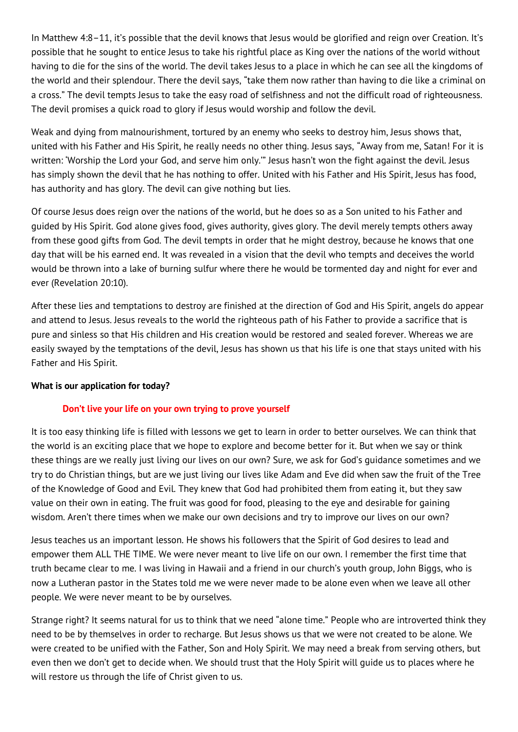In Matthew 4:8–11, it's possible that the devil knows that Jesus would be glorified and reign over Creation. It's possible that he sought to entice Jesus to take his rightful place as King over the nations of the world without having to die for the sins of the world. The devil takes Jesus to a place in which he can see all the kingdoms of the world and their splendour. There the devil says, "take them now rather than having to die like a criminal on a cross." The devil tempts Jesus to take the easy road of selfishness and not the difficult road of righteousness. The devil promises a quick road to glory if Jesus would worship and follow the devil.

Weak and dying from malnourishment, tortured by an enemy who seeks to destroy him, Jesus shows that, united with his Father and His Spirit, he really needs no other thing. Jesus says, "Away from me, Satan! For it is written: 'Worship the Lord your God, and serve him only.'" Jesus hasn't won the fight against the devil. Jesus has simply shown the devil that he has nothing to offer. United with his Father and His Spirit, Jesus has food, has authority and has glory. The devil can give nothing but lies.

Of course Jesus does reign over the nations of the world, but he does so as a Son united to his Father and guided by His Spirit. God alone gives food, gives authority, gives glory. The devil merely tempts others away from these good gifts from God. The devil tempts in order that he might destroy, because he knows that one day that will be his earned end. It was revealed in a vision that the devil who tempts and deceives the world would be thrown into a lake of burning sulfur where there he would be tormented day and night for ever and ever (Revelation 20:10).

After these lies and temptations to destroy are finished at the direction of God and His Spirit, angels do appear and attend to Jesus. Jesus reveals to the world the righteous path of his Father to provide a sacrifice that is pure and sinless so that His children and His creation would be restored and sealed forever. Whereas we are easily swayed by the temptations of the devil, Jesus has shown us that his life is one that stays united with his Father and His Spirit.

#### **What is our application for today?**

## **Don't live your life on your own trying to prove yourself**

It is too easy thinking life is filled with lessons we get to learn in order to better ourselves. We can think that the world is an exciting place that we hope to explore and become better for it. But when we say or think these things are we really just living our lives on our own? Sure, we ask for God's guidance sometimes and we try to do Christian things, but are we just living our lives like Adam and Eve did when saw the fruit of the Tree of the Knowledge of Good and Evil. They knew that God had prohibited them from eating it, but they saw value on their own in eating. The fruit was good for food, pleasing to the eye and desirable for gaining wisdom. Aren't there times when we make our own decisions and try to improve our lives on our own?

Jesus teaches us an important lesson. He shows his followers that the Spirit of God desires to lead and empower them ALL THE TIME. We were never meant to live life on our own. I remember the first time that truth became clear to me. I was living in Hawaii and a friend in our church's youth group, John Biggs, who is now a Lutheran pastor in the States told me we were never made to be alone even when we leave all other people. We were never meant to be by ourselves.

Strange right? It seems natural for us to think that we need "alone time." People who are introverted think they need to be by themselves in order to recharge. But Jesus shows us that we were not created to be alone. We were created to be unified with the Father, Son and Holy Spirit. We may need a break from serving others, but even then we don't get to decide when. We should trust that the Holy Spirit will guide us to places where he will restore us through the life of Christ given to us.